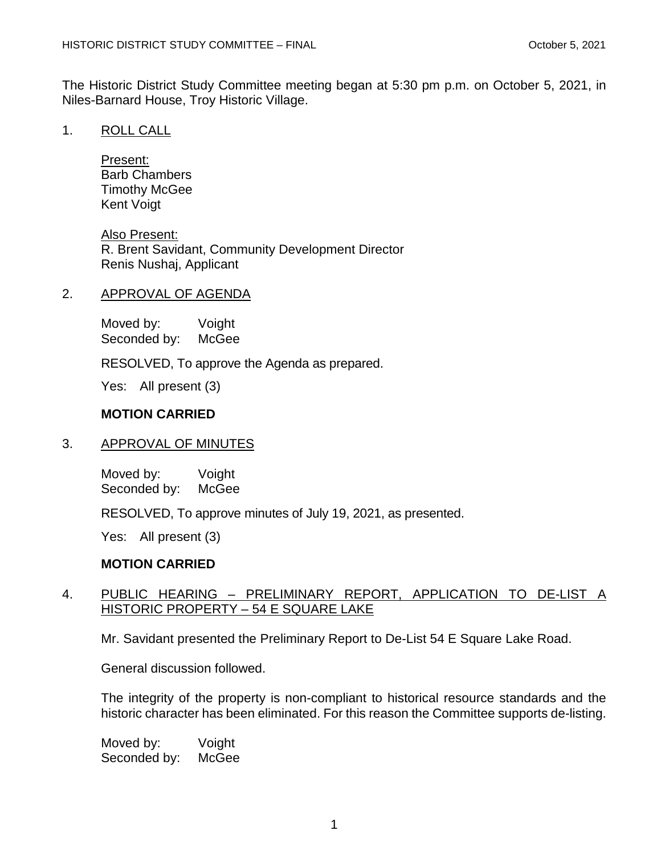The Historic District Study Committee meeting began at 5:30 pm p.m. on October 5, 2021, in Niles-Barnard House, Troy Historic Village.

1. ROLL CALL

Present: Barb Chambers Timothy McGee Kent Voigt

Also Present: R. Brent Savidant, Community Development Director Renis Nushaj, Applicant

# 2. APPROVAL OF AGENDA

Moved by: Voight Seconded by:

RESOLVED, To approve the Agenda as prepared.

Yes: All present (3)

# **MOTION CARRIED**

# 3. APPROVAL OF MINUTES

Moved by: Voight Seconded by: McGee

RESOLVED, To approve minutes of July 19, 2021, as presented.

Yes: All present (3)

# **MOTION CARRIED**

# 4. PUBLIC HEARING – PRELIMINARY REPORT, APPLICATION TO DE-LIST A HISTORIC PROPERTY – 54 E SQUARE LAKE

Mr. Savidant presented the Preliminary Report to De-List 54 E Square Lake Road.

General discussion followed.

The integrity of the property is non-compliant to historical resource standards and the historic character has been eliminated. For this reason the Committee supports de-listing.

Moved by: Voight<br>Seconded by: McGee Seconded by: